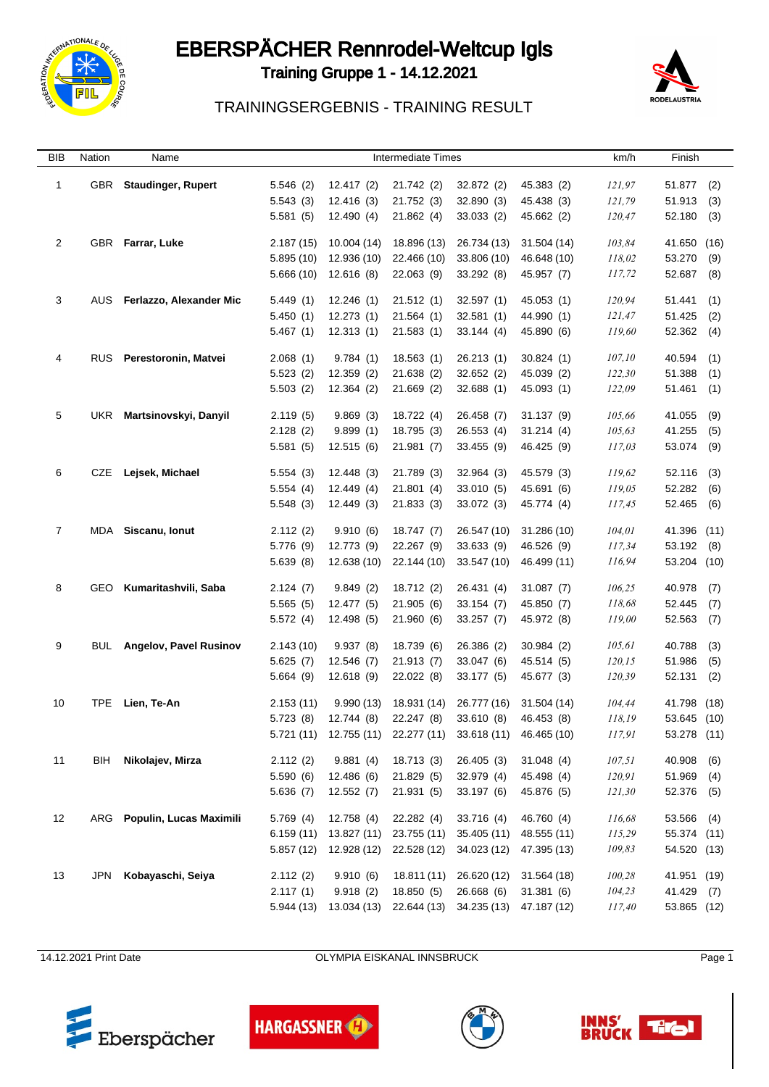

# EBERSPÄCHER Rennrodel-Weltcup Igls

Training Gruppe 1 - 14.12.2021



### TRAININGSERGEBNIS - TRAINING RESULT

| BIB            | Nation | Name                      |           | <b>Intermediate Times</b> | km/h                                  | Finish                  |             |         |             |      |  |
|----------------|--------|---------------------------|-----------|---------------------------|---------------------------------------|-------------------------|-------------|---------|-------------|------|--|
| $\mathbf{1}$   | GBR    | <b>Staudinger, Rupert</b> | 5.546(2)  | 12.417(2)                 | 21.742 (2)                            | 32.872 (2)              | 45.383 (2)  | 121,97  | 51.877      | (2)  |  |
|                |        |                           | 5.543(3)  | 12.416(3)                 | 21.752 (3)                            | 32.890(3)               | 45.438 (3)  | 121,79  | 51.913      | (3)  |  |
|                |        |                           | 5.581(5)  | 12.490(4)                 | 21.862(4)                             | 33.033 (2)              | 45.662 (2)  | 120,47  | 52.180      | (3)  |  |
|                |        |                           |           |                           |                                       |                         |             |         |             |      |  |
| $\overline{2}$ | GBR    | Farrar, Luke              | 2.187(15) | 10.004 (14)               | 18.896 (13)                           | 26.734 (13)             | 31.504 (14) | 103,84  | 41.650      | (16) |  |
|                |        |                           | 5.895(10) | 12.936 (10)               | 22.466 (10)                           | 33.806 (10)             | 46.648 (10) | 118,02  | 53.270      | (9)  |  |
|                |        |                           | 5.666(10) | 12.616(8)                 | 22.063 (9)                            | 33.292 (8)              | 45.957 (7)  | 117,72  | 52.687      | (8)  |  |
| 3              | AUS.   | Ferlazzo, Alexander Mic   | 5.449(1)  | 12.246(1)                 | 21.512(1)                             | 32.597(1)               | 45.053 (1)  | 120,94  | 51.441      | (1)  |  |
|                |        |                           | 5.450(1)  | 12.273(1)                 | 21.564(1)                             | 32.581(1)               | 44.990 (1)  | 121,47  | 51.425      | (2)  |  |
|                |        |                           | 5.467(1)  | 12.313(1)                 | 21.583(1)                             | 33.144 (4)              | 45.890 (6)  | 119,60  | 52.362      | (4)  |  |
| 4              | RUS.   | Perestoronin, Matvei      | 2.068(1)  | 9.784(1)                  | 18.563(1)                             | 26.213 (1)              | 30.824(1)   | 107,10  | 40.594      | (1)  |  |
|                |        |                           | 5.523(2)  | 12.359 (2)                | 21.638(2)                             | 32.652 (2)              | 45.039 (2)  | 122,30  | 51.388      | (1)  |  |
|                |        |                           | 5.503(2)  | 12.364(2)                 | 21.669(2)                             | 32.688(1)               | 45.093 (1)  | 122,09  | 51.461      | (1)  |  |
| 5              | UKR    | Martsinovskyi, Danyil     | 2.119(5)  | 9.869(3)                  | 18.722 (4)                            | 26.458 (7)              | 31.137(9)   | 105,66  | 41.055      | (9)  |  |
|                |        |                           | 2.128(2)  | 9.899(1)                  | 18.795 (3)                            | 26.553 (4)              | 31.214(4)   | 105,63  | 41.255      | (5)  |  |
|                |        |                           | 5.581(5)  | 12.515(6)                 | 21.981(7)                             | 33.455 (9)              | 46.425 (9)  | 117,03  | 53.074      | (9)  |  |
| 6              | CZE    | Lejsek, Michael           | 5.554(3)  | 12.448(3)                 | 21.789 (3)                            | 32.964 (3)              | 45.579 (3)  | 119,62  | 52.116      | (3)  |  |
|                |        |                           | 5.554(4)  | 12.449(4)                 | 21.801(4)                             | 33.010 (5)              | 45.691 (6)  | 119,05  | 52.282      | (6)  |  |
|                |        |                           | 5.548(3)  | 12.449 (3)                | 21.833(3)                             | 33.072 (3)              | 45.774 (4)  | 117,45  | 52.465      | (6)  |  |
| $\overline{7}$ |        | MDA Siscanu, Ionut        | 2.112(2)  | 9.910(6)                  | 18.747 (7)                            | 26.547 (10)             | 31.286 (10) | 104,01  | 41.396      | (11) |  |
|                |        |                           | 5.776 (9) | 12.773 (9)                | 22.267 (9)                            | 33.633 (9)              | 46.526 (9)  | 117,34  | 53.192      | (8)  |  |
|                |        |                           | 5.639 (8) | 12.638 (10)               | 22.144 (10)                           | 33.547 (10)             | 46.499 (11) | 116,94  | 53.204 (10) |      |  |
| 8              | GEO    | Kumaritashvili, Saba      | 2.124(7)  | 9.849(2)                  | 18.712 (2)                            | 26.431 (4)              | 31.087(7)   | 106,25  | 40.978      | (7)  |  |
|                |        |                           | 5.565(5)  | 12.477 (5)                | 21.905 (6)                            | 33.154(7)               | 45.850 (7)  | 118,68  | 52.445      | (7)  |  |
|                |        |                           | 5.572(4)  | 12.498 (5)                | 21.960(6)                             | 33.257(7)               | 45.972 (8)  | 119,00  | 52.563      | (7)  |  |
| 9              | BUL    | Angelov, Pavel Rusinov    | 2.143(10) | 9.937(8)                  | 18.739 (6)                            | 26.386 (2)              | 30.984(2)   | 105,61  | 40.788      | (3)  |  |
|                |        |                           | 5.625(7)  | 12.546 (7)                | 21.913(7)                             | 33.047 (6)              | 45.514 (5)  | 120, 15 | 51.986      | (5)  |  |
|                |        |                           | 5.664(9)  | 12.618(9)                 | 22.022 (8)                            | 33.177 (5)              | 45.677 (3)  | 120,39  | 52.131      | (2)  |  |
| 10             | TPE    | Lien, Te-An               | 2.153(11) | 9.990(13)                 | 18.931 (14)                           | 26.777 (16)             | 31.504 (14) | 104,44  | 41.798      | (18) |  |
|                |        |                           | 5.723(8)  | 12.744 (8)                | 22.247 (8)                            | 33.610 (8)              | 46.453 (8)  | 118,19  | 53.645 (10) |      |  |
|                |        |                           |           |                           | $5.721(11)$ $12.755(11)$ $22.277(11)$ | 33.618 (11) 46.465 (10) |             | 117,91  | 53.278 (11) |      |  |
| 11             | BIH    | Nikolajev, Mirza          | 2.112(2)  | 9.881(4)                  | 18.713 (3)                            | 26.405 (3)              | 31.048(4)   | 107,51  | 40.908      | (6)  |  |
|                |        |                           | 5.590(6)  | 12.486 (6)                | 21.829(5)                             | 32.979 (4)              | 45.498 (4)  | 120,91  | 51.969      | (4)  |  |
|                |        |                           | 5.636(7)  | 12.552(7)                 | 21.931 (5)                            | 33.197 (6)              | 45.876 (5)  | 121,30  | 52.376      | (5)  |  |
| 12             | ARG    | Populin, Lucas Maximili   | 5.769(4)  | 12.758 (4)                | 22.282 (4)                            | 33.716 (4)              | 46.760 (4)  | 116,68  | 53.566      | (4)  |  |
|                |        |                           | 6.159(11) | 13.827 (11)               | 23.755 (11)                           | 35.405 (11)             | 48.555 (11) | 115,29  | 55.374 (11) |      |  |
|                |        |                           | 5.857(12) | 12.928 (12)               | 22.528 (12)                           | 34.023 (12)             | 47.395 (13) | 109,83  | 54.520 (13) |      |  |
| 13             | JPN    | Kobayaschi, Seiya         | 2.112(2)  | 9.910(6)                  | 18.811 (11)                           | 26.620 (12)             | 31.564 (18) | 100,28  | 41.951 (19) |      |  |
|                |        |                           | 2.117(1)  | 9.918(2)                  | 18.850 (5)                            | 26.668 (6)              | 31.381(6)   | 104,23  | 41.429 (7)  |      |  |
|                |        |                           | 5.944(13) | 13.034 (13)               | 22.644 (13)                           | 34.235 (13)             | 47.187 (12) | 117,40  | 53.865 (12) |      |  |

14.12.2021 Print Date **Date COLYMPIA EISKANAL INNSBRUCK** Page 1







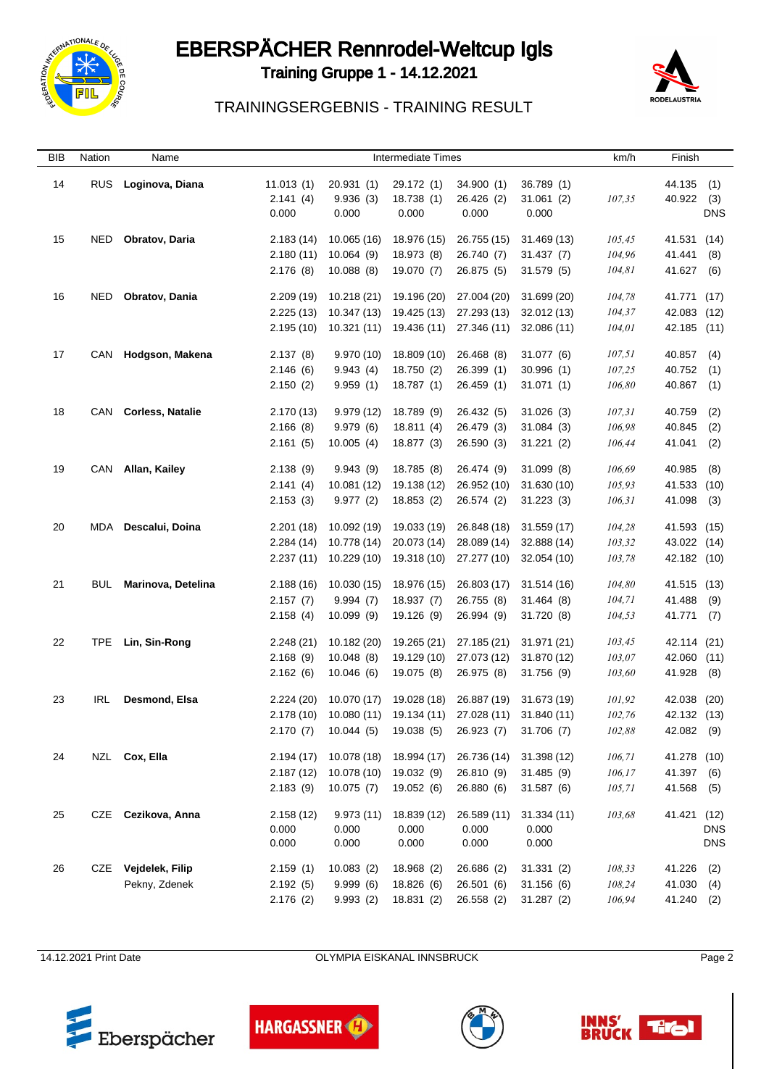

# EBERSPÄCHER Rennrodel-Weltcup Igls





### TRAININGSERGEBNIS - TRAINING RESULT

| <b>BIB</b> | Nation | Name                 |                       |                       | <b>Intermediate Times</b>                                  |                          |                         | km/h         | Finish           |            |
|------------|--------|----------------------|-----------------------|-----------------------|------------------------------------------------------------|--------------------------|-------------------------|--------------|------------------|------------|
| 14         | RUS.   | Loginova, Diana      | 11.013(1)<br>2.141(4) | 20.931(1)<br>9.936(3) | 29.172 (1)<br>18.738 (1)                                   | 34.900 (1)<br>26.426 (2) | 36.789 (1)<br>31.061(2) | 107,35       | 44.135<br>40.922 | (1)<br>(3) |
|            |        |                      | 0.000                 | 0.000                 | 0.000                                                      | 0.000                    | 0.000                   |              |                  | <b>DNS</b> |
| 15         | NED    | Obratov, Daria       | 2.183(14)             | 10.065 (16)           | 18.976 (15)                                                | 26.755 (15)              | 31.469 (13)             | 105,45       | 41.531 (14)      |            |
|            |        |                      | 2.180(11)             | 10.064(9)             | 18.973 (8)                                                 | 26.740 (7)               | 31.437(7)               | 104,96       | 41.441           | (8)        |
|            |        |                      | 2.176(8)              | 10.088(8)             | 19.070 (7)                                                 | 26.875 (5)               | 31.579(5)               | 104,81       | 41.627           | (6)        |
|            |        |                      |                       |                       |                                                            |                          |                         |              |                  |            |
| 16         | NED    | Obratov, Dania       | 2.209(19)             | 10.218 (21)           | 19.196 (20)                                                | 27.004 (20)              | 31.699 (20)             | 104,78       | 41.771 (17)      |            |
|            |        |                      | 2.225(13)             | 10.347 (13)           | 19.425 (13)                                                | 27.293 (13)              | 32.012 (13)             | 104,37       | 42.083 (12)      |            |
|            |        |                      | 2.195(10)             | 10.321(11)            | 19.436 (11)                                                | 27.346 (11)              | 32.086 (11)             | 104,01       | 42.185 (11)      |            |
| 17         |        | CAN Hodgson, Makena  | 2.137(8)              | 9.970(10)             | 18.809 (10)                                                | 26.468 (8)               | 31.077(6)               | 107,51       | 40.857 (4)       |            |
|            |        |                      | 2.146(6)              | 9.943(4)              | 18.750 (2)                                                 | 26.399 (1)               | 30.996(1)               | 107,25       | 40.752 (1)       |            |
|            |        |                      | 2.150(2)              | 9.959(1)              | 18.787 (1)                                                 | 26.459 (1)               | 31.071 (1)              | 106,80       | 40.867 (1)       |            |
|            |        |                      |                       |                       |                                                            |                          |                         |              |                  |            |
| 18         |        | CAN Corless, Natalie | 2.170(13)             | 9.979(12)             | 18.789 (9)                                                 | 26.432 (5)               | 31.026(3)               | 107,31       | 40.759           | (2)        |
|            |        |                      | 2.166(8)              | 9.979(6)              | 18.811(4)                                                  | 26.479 (3)               | 31.084(3)               | 106,98       | 40.845           | (2)        |
|            |        |                      | 2.161(5)              | 10.005(4)             | 18.877 (3)                                                 | 26.590 (3)               | 31.221(2)               | 106,44       | 41.041           | (2)        |
| 19         |        | CAN Allan, Kailey    | 2.138(9)              | 9.943(9)              | 18.785 (8)                                                 | 26.474 (9)               | 31.099(8)               | 106,69       | 40.985           | (8)        |
|            |        |                      | 2.141(4)              | 10.081 (12)           | 19.138 (12)                                                | 26.952 (10)              | 31.630 (10)             | 105,93       | 41.533 (10)      |            |
|            |        |                      | 2.153(3)              | 9.977(2)              | 18.853 (2)                                                 | 26.574 (2)               | 31.223(3)               | 106, 31      | 41.098           | (3)        |
|            |        |                      |                       |                       |                                                            |                          |                         |              |                  |            |
| 20         |        | MDA Descalui, Doina  | 2.201(18)             | 10.092 (19)           | 19.033 (19)                                                | 26.848 (18)              | 31.559(17)              | 104,28       | 41.593 (15)      |            |
|            |        |                      | 2.284(14)             | 10.778 (14)           | 20.073 (14)                                                | 28.089 (14)              | 32.888 (14)             | 103,32       | 43.022 (14)      |            |
|            |        |                      | 2.237(11)             | 10.229 (10)           | 19.318 (10)                                                | 27.277 (10)              | 32.054 (10)             | 103,78       | 42.182 (10)      |            |
| 21         | BUL    | Marinova, Detelina   | 2.188(16)             | 10.030 (15)           | 18.976 (15)                                                | 26.803 (17)              | 31.514 (16)             | 104,80       | 41.515 (13)      |            |
|            |        |                      | 2.157(7)              | 9.994(7)              | 18.937(7)                                                  | 26.755 (8)               | 31.464 (8)              | 104,71       | 41.488 (9)       |            |
|            |        |                      | 2.158(4)              | 10.099(9)             | 19.126 (9)                                                 | 26.994 (9)               | 31.720 (8)              | 104,53       | 41.771 (7)       |            |
|            |        |                      |                       |                       |                                                            |                          |                         |              |                  |            |
| 22         | TPE    | Lin, Sin-Rong        | 2.248(21)             | 10.182 (20)           | 19.265 (21)                                                | 27.185 (21)              | 31.971 (21)             | 103,45       | 42.114 (21)      |            |
|            |        |                      | 2.168(9)              | 10.048(8)             | 19.129 (10)                                                | 27.073 (12)              | 31.870 (12)             | 103,07       | 42.060 (11)      |            |
|            |        |                      | 2.162(6)              | 10.046(6)             | 19.075 (8)                                                 | 26.975 (8)               | 31.756 (9)              | 103,60       | 41.928           | (8)        |
| 23         | IRL.   | Desmond, Elsa        | 2.224(20)             | 10.070 (17)           | 19.028 (18)                                                | 26.887 (19)              | 31.673 (19)             | 101,92       | 42.038 (20)      |            |
|            |        |                      |                       |                       | 2.178 (10) 10.080 (11) 19.134 (11) 27.028 (11) 31.840 (11) |                          |                         | 102,76       | 42.132 (13)      |            |
|            |        |                      | 2.170(7)              |                       | 10.044 (5) 19.038 (5) 26.923 (7)                           |                          | 31.706(7)               | $\it 102,88$ | 42.082 (9)       |            |
|            |        |                      |                       |                       |                                                            |                          |                         |              |                  |            |
| 24         |        | NZL Cox, Ella        | 2.194(17)             | 10.078 (18)           | 18.994 (17)                                                | 26.736 (14)              | 31.398 (12)             | 106,71       | 41.278 (10)      |            |
|            |        |                      | 2.187(12)             | 10.078 (10)           | 19.032 (9)                                                 | 26.810 (9)               | 31.485(9)               | 106,17       | 41.397 (6)       |            |
|            |        |                      | 2.183(9)              | 10.075(7)             | 19.052 (6)                                                 | 26.880 (6)               | 31.587(6)               | 105,71       | 41.568           | (5)        |
| 25         | CZE    | Cezikova, Anna       | 2.158(12)             | 9.973(11)             | 18.839 (12)                                                | 26.589 (11)              | 31.334(11)              | 103,68       | 41.421 (12)      |            |
|            |        |                      | 0.000                 | 0.000                 | 0.000                                                      | 0.000                    | 0.000                   |              |                  | <b>DNS</b> |
|            |        |                      | 0.000                 | 0.000                 | 0.000                                                      | 0.000                    | 0.000                   |              |                  | <b>DNS</b> |
|            |        |                      |                       |                       |                                                            |                          |                         |              |                  |            |
| 26         |        | CZE Vejdelek, Filip  | 2.159(1)              | 10.083(2)             | 18.968 (2)                                                 | 26.686 (2)               | 31.331(2)               | 108,33       | 41.226           | (2)        |
|            |        | Pekny, Zdenek        | 2.192(5)              | 9.999(6)              | 18.826 (6)                                                 | 26.501 (6)               | 31.156(6)               | 108,24       | 41.030 (4)       |            |
|            |        |                      | 2.176(2)              | 9.993(2)              | 18.831 (2)                                                 | 26.558 (2)               | 31.287(2)               | 106,94       | 41.240           | (2)        |

14.12.2021 Print Date **OLYMPIA EISKANAL INNSBRUCK** Page 2